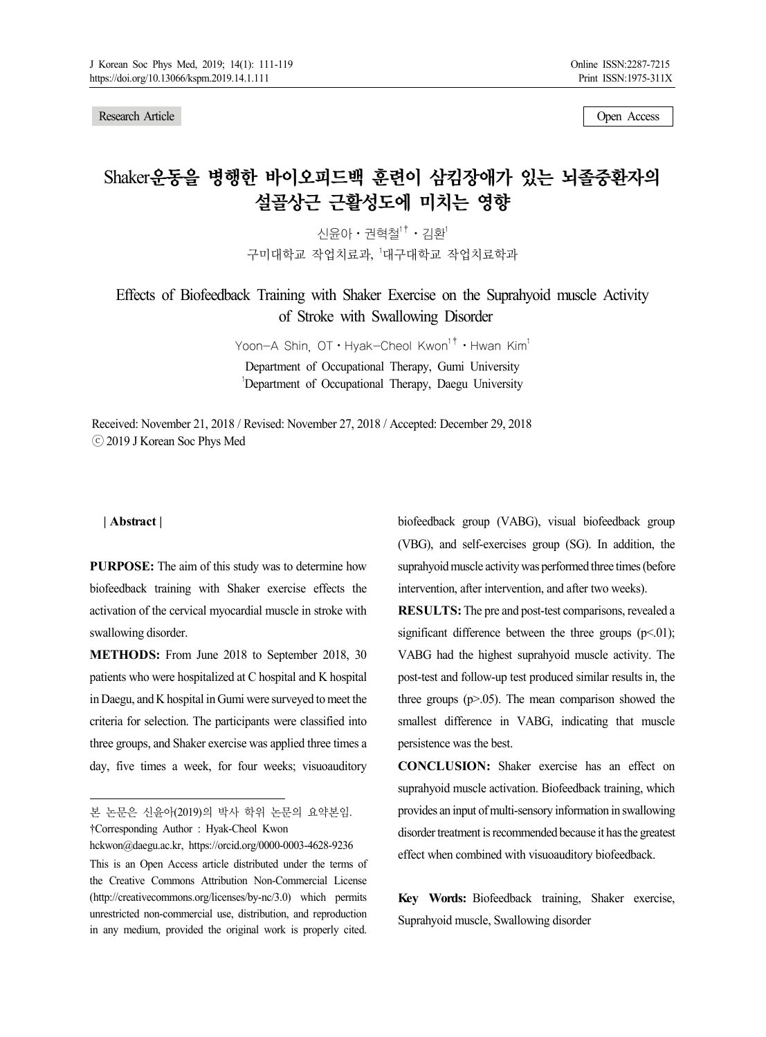Research Article Open Access 2012 19:30 19:30 19:30 19:30 19:30 19:30 19:30 19:30 19:30 19:30 19:30 19:30 19:30 19:30 19:30 19:30 19:30 19:30 19:30 19:30 19:30 19:30 19:30 19:30 19:30 19:30 19:30 19:30 19:30 19:30 19:30 19

# Shaker운동을 병행한 바이오피드백 훈련이 삼킴장애가 있는 뇌졸중환자의 설골상근 근활성도에 미치는 영향

신윤아⋅권혁철1†⋅김환1 구미대학교 작업치료과, '대구대학교 작업치료학과

Effects of Biofeedback Training with Shaker Exercise on the Suprahyoid muscle Activity of Stroke with Swallowing Disorder

> Yoon-A Shin, OT · Hyak-Cheol Kwon<sup>1†</sup> · Hwan Kim<sup>1</sup> Department of Occupational Therapy, Gumi University

1 Department of Occupational Therapy, Daegu University

Received: November 21, 2018 / Revised: November 27, 2018 / Accepted: December 29, 2018 ⓒ 2019 J Korean Soc Phys Med

#### **| Abstract |1)**

**PURPOSE:** The aim of this study was to determine how biofeedback training with Shaker exercise effects the activation of the cervical myocardial muscle in stroke with swallowing disorder.

**METHODS:** From June 2018 to September 2018, 30 patients who were hospitalized at C hospital and K hospital in Daegu, and K hospital in Gumi were surveyed to meet the criteria for selection. The participants were classified into three groups, and Shaker exercise was applied three times a day, five times a week, for four weeks; visuoauditory

본 논문은 신윤아(2019)의 박사 학위 논문의 요약본임. †Corresponding Author : Hyak-Cheol Kwon

hckwon@daegu.ac.kr, https://orcid.org/0000-0003-4628-9236 This is an Open Access article distributed under the terms of the Creative Commons Attribution Non-Commercial License (http://creativecommons.org/licenses/by-nc/3.0) which permits unrestricted non-commercial use, distribution, and reproduction in any medium, provided the original work is properly cited.

biofeedback group (VABG), visual biofeedback group (VBG), and self-exercises group (SG). In addition, the suprahyoid muscle activity was performed three times (before intervention, after intervention, and after two weeks).

**RESULTS:** The pre and post-test comparisons, revealed a significant difference between the three groups  $(p<0.01)$ ; VABG had the highest suprahyoid muscle activity. The post-test and follow-up test produced similar results in, the three groups  $(p>0.05)$ . The mean comparison showed the smallest difference in VABG, indicating that muscle persistence was the best.

**CONCLUSION:** Shaker exercise has an effect on suprahyoid muscle activation. Biofeedback training, which provides an input of multi-sensory information in swallowing disorder treatment is recommended because it has the greatest effect when combined with visuoauditory biofeedback.

**Key Words:** Biofeedback training, Shaker exercise, Suprahyoid muscle, Swallowing disorder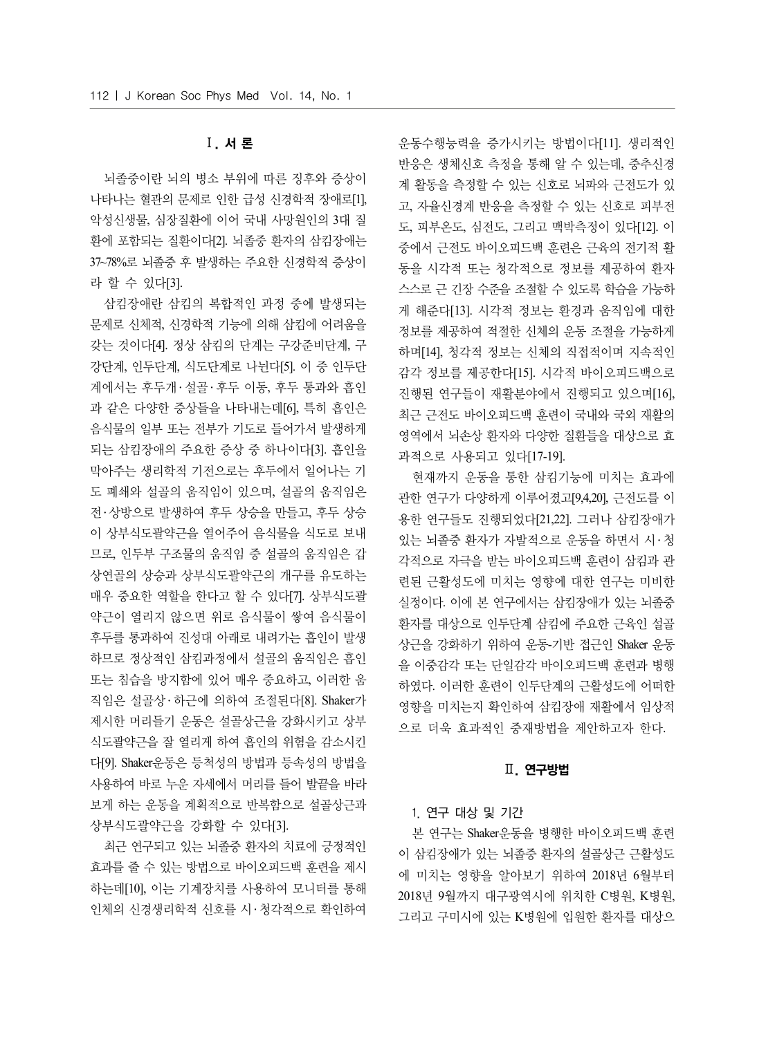# Ⅰ. 서 론

뇌졸중이란 뇌의 병소 부위에 따른 징후와 증상이 나타나는 혈관의 문제로 인한 급성 신경학적 장애로[1], 악성신생물, 심장질환에 이어 국내 사망원인의 3대 질 환에 포함되는 질환이다[2]. 뇌졸중 환자의 삼킴장애는 37~78%로 뇌졸중 후 발생하는 주요한 신경학적 증상이 라 할 수 있다[3].

삼킴장애란 삼킴의 복합적인 과정 중에 발생되는 문제로 신체적, 신경학적 기능에 의해 삼킴에 어려움을 갖는 것이다[4]. 정상 삼킴의 단계는 구강준비단계, 구 강단계, 인두단계, 식도단계로 나뉜다[5]. 이 중 인두단 계에서는 후두개 • 설골 • 후두 이동, 후두 통과와 흡인 과 같은 다양한 증상들을 나타내는데[6], 특히 흡인은 음식물의 일부 또는 전부가 기도로 들어가서 발생하게 되는 삼킴장애의 주요한 증상 중 하나이다[3]. 흡인을 막아주는 생리학적 기전으로는 후두에서 일어나는 기 도 폐쇄와 설골의 움직임이 있으며, 설골의 움직임은 전․ 상방으로 발생하여 후두 상승을 만들고, 후두 상승 이 상부식도괄약근을 열어주어 음식물을 식도로 보내 므로, 인두부 구조물의 움직임 중 설골의 움직임은 갑 상연골의 상승과 상부식도괄약근의 개구를 유도하는 매우 중요한 역할을 한다고 할 수 있다[7]. 상부식도괄 약근이 열리지 않으면 위로 음식물이 쌓여 음식물이 후두를 통과하여 진성대 아래로 내려가는 흡인이 발생 하므로 정상적인 삼킴과정에서 설골의 움직임은 흡인 또는 침습을 방지함에 있어 매우 중요하고, 이러한 움 직임은 설골상 ․ 하근에 의하여 조절된다[8]. Shaker가 제시한 머리들기 운동은 설골상근을 강화시키고 상부 식도괄약근을 잘 열리게 하여 흡인의 위험을 감소시킨 다[9]. Shaker운동은 등척성의 방법과 등속성의 방법을 사용하여 바로 누운 자세에서 머리를 들어 발끝을 바라 보게 하는 운동을 계획적으로 반복함으로 설골상근과 상부식도괄약근을 강화할 수 있다[3].

최근 연구되고 있는 뇌졸중 환자의 치료에 긍정적인 효과를 줄 수 있는 방법으로 바이오피드백 훈련을 제시 하는데[10], 이는 기계장치를 사용하여 모니터를 통해 인체의 신경생리학적 신호를 시․ 청각적으로 확인하여

운동수행능력을 증가시키는 방법이다[11]. 생리적인 반응은 생체신호 측정을 통해 알 수 있는데, 중추신경 계 활동을 측정할 수 있는 신호로 뇌파와 근전도가 있 고, 자율신경계 반응을 측정할 수 있는 신호로 피부전 도, 피부온도, 심전도, 그리고 맥박측정이 있다[12]. 이 중에서 근전도 바이오피드백 훈련은 근육의 전기적 활 동을 시각적 또는 청각적으로 정보를 제공하여 환자 스스로 근 긴장 수준을 조절할 수 있도록 학습을 가능하 게 해준다[13]. 시각적 정보는 환경과 움직임에 대한 정보를 제공하여 적절한 신체의 운동 조절을 가능하게 하며[14], 청각적 정보는 신체의 직접적이며 지속적인 감각 정보를 제공한다[15]. 시각적 바이오피드백으로 진행된 연구들이 재활분야에서 진행되고 있으며[16], 최근 근전도 바이오피드백 훈련이 국내와 국외 재활의 영역에서 뇌손상 환자와 다양한 질환들을 대상으로 효 과적으로 사용되고 있다[17-19].

현재까지 운동을 통한 삼킴기능에 미치는 효과에 관한 연구가 다양하게 이루어졌고[9,4,20], 근전도를 이 용한 연구들도 진행되었다[21,22]. 그러나 삼킴장애가 있는 뇌졸중 환자가 자발적으로 운동을 하면서 시․ 청 각적으로 자극을 받는 바이오피드백 훈련이 삼킴과 관 련된 근활성도에 미치는 영향에 대한 연구는 미비한 실정이다. 이에 본 연구에서는 삼킴장애가 있는 뇌졸중 환자를 대상으로 인두단계 삼킴에 주요한 근육인 설골 상근을 강화하기 위하여 운동-기반 접근인 Shaker 운동 을 이중감각 또는 단일감각 바이오피드백 훈련과 병행 하였다. 이러한 훈련이 인두단계의 근활성도에 어떠한 영향을 미치는지 확인하여 삼킴장애 재활에서 임상적 으로 더욱 효과적인 중재방법을 제안하고자 한다.

## Ⅱ. 연구방법

#### 1. 연구 대상 및 기간

본 연구는 Shaker운동을 병행한 바이오피드백 훈련 이 삼킴장애가 있는 뇌졸중 환자의 설골상근 근활성도 에 미치는 영향을 알아보기 위하여 2018년 6월부터 2018년 9월까지 대구광역시에 위치한 C병원, K병원, 그리고 구미시에 있는 K병원에 입원한 환자를 대상으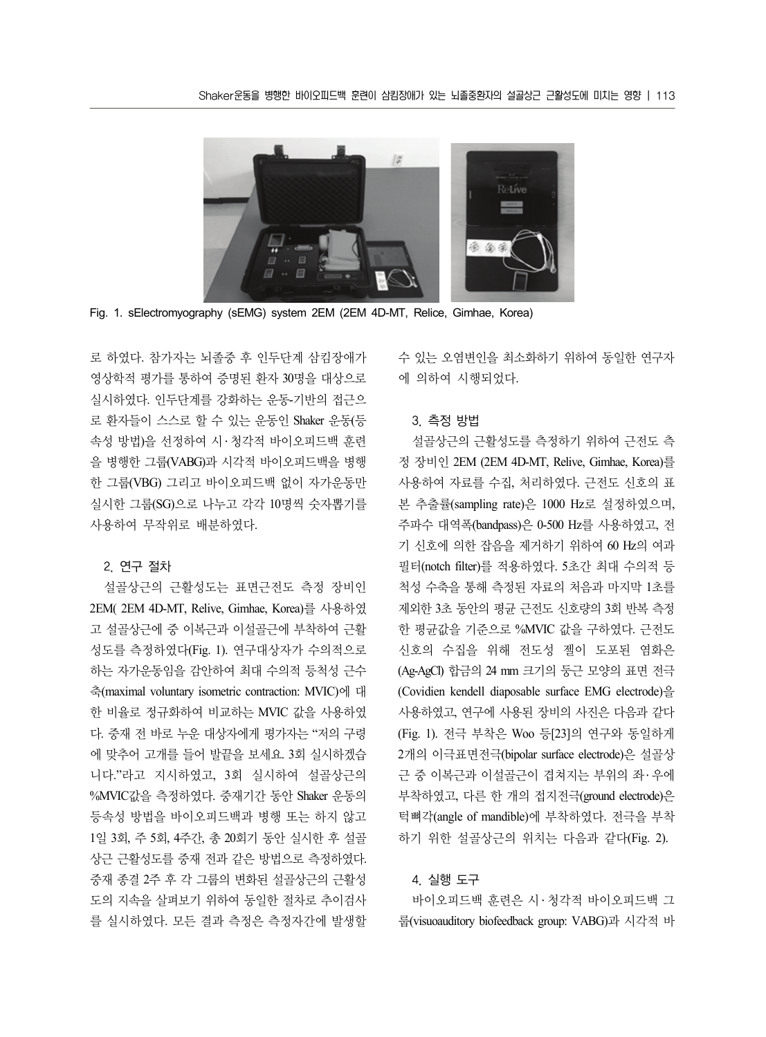

Fig. 1. sElectromyography (sEMG) system 2EM (2EM 4D-MT, Relice, Gimhae, Korea)

로 하였다. 참가자는 뇌졸중 후 인두단계 삼킴장애가 영상학적 평가를 통하여 증명된 환자 30명을 대상으로 실시하였다. 인두단계를 강화하는 운동-기반의 접근으 로 환자들이 스스로 할 수 있는 운동인 Shaker 운동(등 속성 방법)을 선정하여 시 ․ 청각적 바이오피드백 훈련 을 병행한 그룹(VABG)과 시각적 바이오피드백을 병행 한 그룹(VBG) 그리고 바이오피드백 없이 자가운동만 실시한 그룹(SG)으로 나누고 각각 10명씩 숫자뽑기를 사용하여 무작위로 배분하였다.

#### 2. 연구 절차

설골상근의 근활성도는 표면근전도 측정 장비인 2EM( 2EM 4D-MT, Relive, Gimhae, Korea)를 사용하였 고 설골상근에 중 이복근과 이설골근에 부착하여 근활 성도를 측정하였다(Fig. 1). 연구대상자가 수의적으로 하는 자가운동임을 감안하여 최대 수의적 등척성 근수 축(maximal voluntary isometric contraction: MVIC)에 대 한 비율로 정규화하여 비교하는 MVIC 값을 사용하였 다. 중재 전 바로 누운 대상자에게 평가자는 "저의 구령 에 맞추어 고개를 들어 발끝을 보세요. 3회 실시하겠습 니다."라고 지시하였고, 3회 실시하여 설골상근의 %MVIC값을 측정하였다. 중재기간 동안 Shaker 운동의 등속성 방법을 바이오피드백과 병행 또는 하지 않고 1일 3회, 주 5회, 4주간, 총 20회기 동안 실시한 후 설골 상근 근활성도를 중재 전과 같은 방법으로 측정하였다. 중재 종결 2주 후 각 그룹의 변화된 설골상근의 근활성 도의 지속을 살펴보기 위하여 동일한 절차로 추이검사 를 실시하였다. 모든 결과 측정은 측정자간에 발생할 수 있는 오염변인을 최소화하기 위하여 동일한 연구자 에 의하여 시행되었다.

#### 3. 측정 방법

설골상근의 근활성도를 측정하기 위하여 근전도 측 정 장비인 2EM (2EM 4D-MT, Relive, Gimhae, Korea)를 사용하여 자료를 수집, 처리하였다. 근전도 신호의 표 본 추출률(sampling rate)은 1000 Hz로 설정하였으며, 주파수 대역폭(bandpass)은 0-500 Hz를 사용하였고, 전 기 신호에 의한 잡음을 제거하기 위하여 60 Hz의 여과 필터(notch filter)를 적용하였다. 5초간 최대 수의적 등 척성 수축을 통해 측정된 자료의 처음과 마지막 1초를 제외한 3초 동안의 평균 근전도 신호량의 3회 반복 측정 한 평균값을 기준으로 %MVIC 값을 구하였다. 근전도 신호의 수집을 위해 전도성 젤이 도포된 염화은 (Ag-AgCl) 합금의 24 mm 크기의 둥근 모양의 표면 전극 (Covidien kendell diaposable surface EMG electrode)을 사용하였고, 연구에 사용된 장비의 사진은 다음과 같다 (Fig. 1). 전극 부착은 Woo 등[23]의 연구와 동일하게 2개의 이극표면전극(bipolar surface electrode)은 설골상 근 중 이복근과 이설골근이 겹쳐지는 부위의 좌․ 우에 부착하였고, 다른 한 개의 접지전극(ground electrode)은 턱뼈각(angle of mandible)에 부착하였다. 전극을 부착 하기 위한 설골상근의 위치는 다음과 같다(Fig. 2).

## 4. 실행 도구

바이오피드백 훈련은 시 ․ 청각적 바이오피드백 그 룹(visuoauditory biofeedback group: VABG)과 시각적 바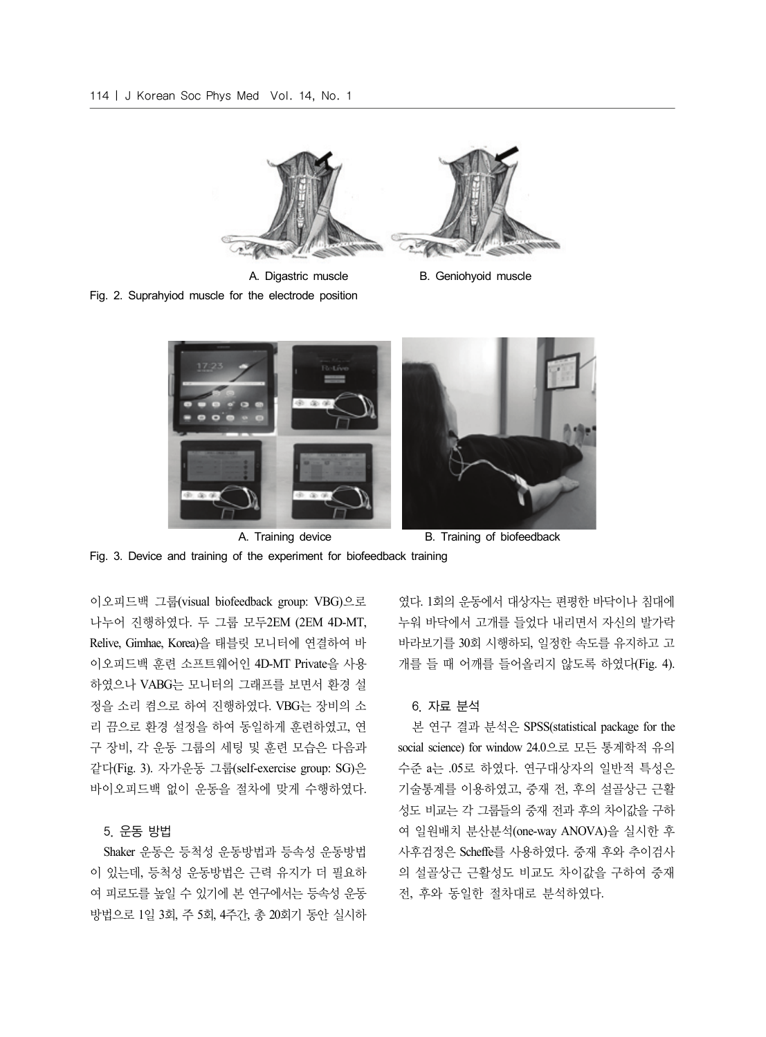

Fig. 2. Suprahyiod muscle for the electrode position

- A. Digastric muscle B. Geniohyoid muscle
- 



Fig. 3. Device and training of the experiment for biofeedback training

이오피드백 그룹(visual biofeedback group: VBG)으로 나누어 진행하였다. 두 그룹 모두2EM (2EM 4D-MT, Relive, Gimhae, Korea)을 태블릿 모니터에 연결하여 바 이오피드백 훈련 소프트웨어인 4D-MT Private을 사용 하였으나 VABG는 모니터의 그래프를 보면서 환경 설 정을 소리 켬으로 하여 진행하였다. VBG는 장비의 소 리 끔으로 환경 설정을 하여 동일하게 훈련하였고, 연 구 장비, 각 운동 그룹의 세팅 및 훈련 모습은 다음과 같다(Fig. 3). 자가운동 그룹(self-exercise group: SG)은 바이오피드백 없이 운동을 절차에 맞게 수행하였다.

## 5. 운동 방법

Shaker 운동은 등척성 운동방법과 등속성 운동방법 이 있는데, 등척성 운동방법은 근력 유지가 더 필요하 여 피로도를 높일 수 있기에 본 연구에서는 등속성 운동 방법으로 1일 3회, 주 5회, 4주간, 총 20회기 동안 실시하

였다. 1회의 운동에서 대상자는 편평한 바닥이나 침대에 누워 바닥에서 고개를 들었다 내리면서 자신의 발가락 바라보기를 30회 시행하되, 일정한 속도를 유지하고 고 개를 들 때 어깨를 들어올리지 않도록 하였다(Fig. 4).

## 6. 자료 분석

본 연구 결과 분석은 SPSS(statistical package for the social science) for window 24.0으로 모든 통계학적 유의 수준 a는 .05로 하였다. 연구대상자의 일반적 특성은 기술통계를 이용하였고, 중재 전, 후의 설골상근 근활 성도 비교는 각 그룹들의 중재 전과 후의 차이값을 구하 여 일원배치 분산분석(one-way ANOVA)을 실시한 후 사후검정은 Scheffe를 사용하였다. 중재 후와 추이검사 의 설골상근 근활성도 비교도 차이값을 구하여 중재 전, 후와 동일한 절차대로 분석하였다.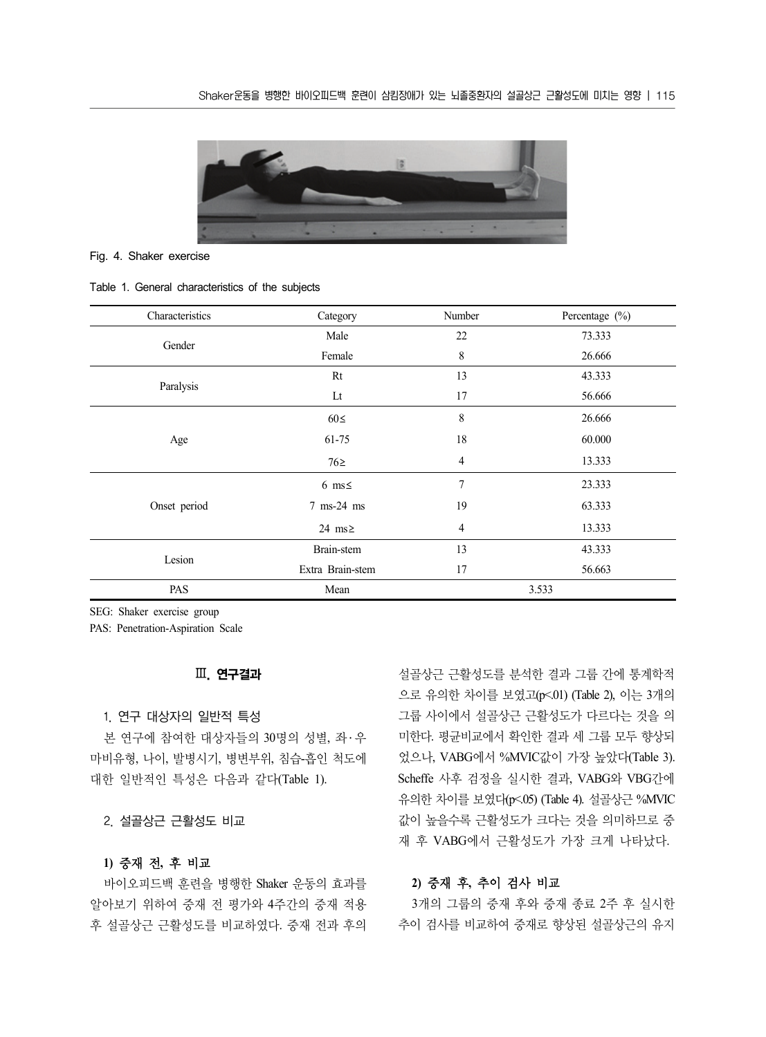

#### Fig. 4. Shaker exercise

#### Table 1. General characteristics of the subjects

| Characteristics | Category         | Number         | Percentage (%) |
|-----------------|------------------|----------------|----------------|
| Gender          | Male             | 22             | 73.333         |
|                 | Female           | 8              | 26.666         |
|                 | Rt               | 13             | 43.333         |
| Paralysis       | Lt               | 17             | 56.666         |
|                 | $60 \leq$        | 8              | 26.666         |
| Age             | 61-75            | 18             | 60.000         |
|                 | $76\ge$          | $\overline{4}$ | 13.333         |
|                 | 6 ms $\leq$      | $\overline{7}$ | 23.333         |
| Onset period    | 7 ms-24 ms       | 19             | 63.333         |
|                 | 24 ms $\geq$     | $\overline{4}$ | 13.333         |
|                 | Brain-stem       | 13             | 43.333         |
| Lesion          | Extra Brain-stem | 17             | 56.663         |
| PAS             | Mean             | 3.533          |                |

SEG: Shaker exercise group

PAS: Penetration-Aspiration Scale

## Ⅲ. 연구결과

#### 1. 연구 대상자의 일반적 특성

본 연구에 참여한 대상자들의 30명의 성별, 좌 ․ 우 마비유형, 나이, 발병시기, 병변부위, 침습-흡인 척도에 대한 일반적인 특성은 다음과 같다(Table 1).

2. 설골상근 근활성도 비교

# **1)** 중재 전**,** 후 비교

바이오피드백 훈련을 병행한 Shaker 운동의 효과를 알아보기 위하여 중재 전 평가와 4주간의 중재 적용 후 설골상근 근활성도를 비교하였다. 중재 전과 후의 설골상근 근활성도를 분석한 결과 그룹 간에 통계학적 으로 유의한 차이를 보였고(p<.01) (Table 2), 이는 3개의 그룹 사이에서 설골상근 근활성도가 다르다는 것을 의 미한다. 평균비교에서 확인한 결과 세 그룹 모두 향상되 었으나, VABG에서 %MVIC값이 가장 높았다(Table 3). Scheffe 사후 검정을 실시한 결과, VABG와 VBG간에 유의한 차이를 보였다(p<.05) (Table 4). 설골상근 %MVIC 값이 높을수록 근활성도가 크다는 것을 의미하므로 중 재 후 VABG에서 근활성도가 가장 크게 나타났다.

## **2)** 중재 후**,** 추이 검사 비교

3개의 그룹의 중재 후와 중재 종료 2주 후 실시한 추이 검사를 비교하여 중재로 향상된 설골상근의 유지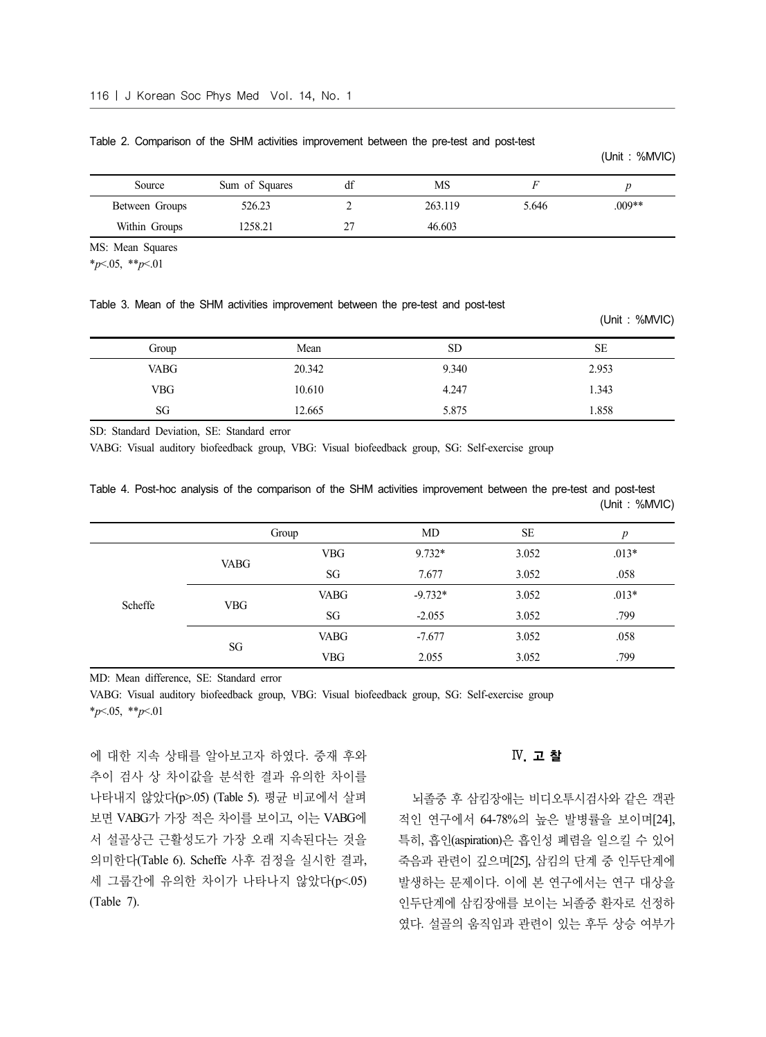| Source         | Sum of Squares | df | MS      |       |          |
|----------------|----------------|----|---------|-------|----------|
| Between Groups | 526.23         |    | 263.119 | 5.646 | $.009**$ |
| Within Groups  | 1258.21        |    | 46.603  |       |          |

#### Table 2. Comparison of the SHM activities improvement between the pre-test and post-test

MS: Mean Squares

\**p*<.05, \*\**p*<.01

#### Table 3. Mean of the SHM activities improvement between the pre-test and post-test

|             |        |           | $\sim$    |
|-------------|--------|-----------|-----------|
| Group       | Mean   | <b>SD</b> | <b>SE</b> |
| <b>VABG</b> | 20.342 | 9.340     | 2.953     |
| <b>VBG</b>  | 10.610 | 4.247     | 1.343     |
| SG          | 12.665 | 5.875     | 1.858     |

SD: Standard Deviation, SE: Standard error

VABG: Visual auditory biofeedback group, VBG: Visual biofeedback group, SG: Self-exercise group

|  |  |  |  |  | Table 4. Post-hoc analysis of the comparison of the SHM activities improvement between the pre-test and post-test |  |  |               |
|--|--|--|--|--|-------------------------------------------------------------------------------------------------------------------|--|--|---------------|
|  |  |  |  |  |                                                                                                                   |  |  | (Unit: %MVIC) |

|         |             | Group       | <b>MD</b> | <b>SE</b> | р       |
|---------|-------------|-------------|-----------|-----------|---------|
|         | <b>VABG</b> | <b>VBG</b>  | $9.732*$  | 3.052     | $.013*$ |
|         |             | SG          | 7.677     | 3.052     | .058    |
| Scheffe | <b>VBG</b>  | <b>VABG</b> | $-9.732*$ | 3.052     | $.013*$ |
|         |             | SG          | $-2.055$  | 3.052     | .799    |
|         | SG          | <b>VABG</b> | $-7.677$  | 3.052     | .058    |
|         |             | <b>VBG</b>  | 2.055     | 3.052     | .799    |

MD: Mean difference, SE: Standard error

VABG: Visual auditory biofeedback group, VBG: Visual biofeedback group, SG: Self-exercise group \**p*<.05, \*\**p*<.01

에 대한 지속 상태를 알아보고자 하였다. 중재 후와 추이 검사 상 차이값을 분석한 결과 유의한 차이를 나타내지 않았다(p>.05) (Table 5). 평균 비교에서 살펴 보면 VABG가 가장 적은 차이를 보이고, 이는 VABG에 서 설골상근 근활성도가 가장 오래 지속된다는 것을 의미한다(Table 6). Scheffe 사후 검정을 실시한 결과, 세 그룹간에 유의한 차이가 나타나지 않았다(p<.05) (Table 7).

# Ⅳ. 고 찰

(Unit : %MVIC)

(Unit : %MVIC)

뇌졸중 후 삼킴장애는 비디오투시검사와 같은 객관 적인 연구에서 64-78%의 높은 발병률을 보이며[24], 특히, 흡인(aspiration)은 흡인성 폐렴을 일으킬 수 있어 죽음과 관련이 깊으며[25], 삼킴의 단계 중 인두단계에 발생하는 문제이다. 이에 본 연구에서는 연구 대상을 인두단계에 삼킴장애를 보이는 뇌졸중 환자로 선정하 였다. 설골의 움직임과 관련이 있는 후두 상승 여부가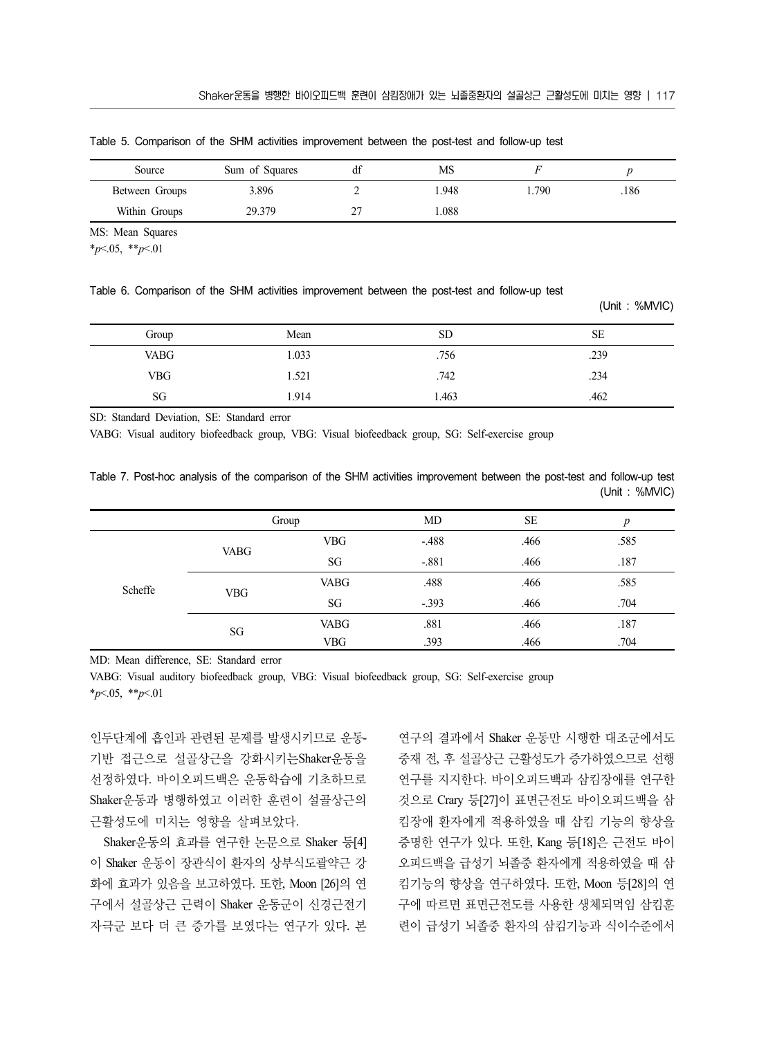| Source         | Sum of Squares | df | MS   |       |     |
|----------------|----------------|----|------|-------|-----|
| Between Groups | 3.896          |    | .948 | . 790 | 186 |
| Within Groups  | 29.379         |    | .088 |       |     |

Table 5. Comparison of the SHM activities improvement between the post-test and follow-up test

MS: Mean Squares

\**p*<.05, \*\**p*<.01

Table 6. Comparison of the SHM activities improvement between the post-test and follow-up test

|             |       |           | (Unit: %MVIC) |
|-------------|-------|-----------|---------------|
| Group       | Mean  | <b>SD</b> | SE            |
| <b>VABG</b> | 1.033 | .756      | .239          |
| <b>VBG</b>  | 1.521 | .742      | .234          |
| SG          | 1.914 | 1.463     | .462          |

SD: Standard Deviation, SE: Standard error

VABG: Visual auditory biofeedback group, VBG: Visual biofeedback group, SG: Self-exercise group

|  |  |  |  |  | Table 7. Post-hoc analysis of the comparison of the SHM activities improvement between the post-test and follow-up test |  |  |               |  |
|--|--|--|--|--|-------------------------------------------------------------------------------------------------------------------------|--|--|---------------|--|
|  |  |  |  |  |                                                                                                                         |  |  | (Unit: %MVIC) |  |

|         |             | Group       | MD      | <b>SE</b> | $\boldsymbol{p}$ |
|---------|-------------|-------------|---------|-----------|------------------|
|         |             | <b>VBG</b>  | $-.488$ | .466      | .585             |
| Scheffe | <b>VABG</b> | SG          | $-.881$ | .466      | .187             |
|         | <b>VBG</b>  | <b>VABG</b> | .488    | .466      | .585             |
|         |             | SG          | $-.393$ | .466      | .704             |
|         | SG          | <b>VABG</b> | .881    | .466      | .187             |
|         |             | <b>VBG</b>  | .393    | .466      | .704             |

MD: Mean difference, SE: Standard error

VABG: Visual auditory biofeedback group, VBG: Visual biofeedback group, SG: Self-exercise group \**p*<.05, \*\**p*<.01

인두단계에 흡인과 관련된 문제를 발생시키므로 운동-기반 접근으로 설골상근을 강화시키는Shaker운동을 선정하였다. 바이오피드백은 운동학습에 기초하므로 Shaker운동과 병행하였고 이러한 훈련이 설골상근의 근활성도에 미치는 영향을 살펴보았다.

Shaker운동의 효과를 연구한 논문으로 Shaker 등[4] 이 Shaker 운동이 장관식이 환자의 상부식도괄약근 강 화에 효과가 있음을 보고하였다. 또한, Moon [26]의 연 구에서 설골상근 근력이 Shaker 운동군이 신경근전기 자극군 보다 더 큰 증가를 보였다는 연구가 있다. 본

연구의 결과에서 Shaker 운동만 시행한 대조군에서도 중재 전, 후 설골상근 근활성도가 증가하였으므로 선행 연구를 지지한다. 바이오피드백과 삼킴장애를 연구한 것으로 Crary 등[27]이 표면근전도 바이오피드백을 삼 킴장애 환자에게 적용하였을 때 삼킴 기능의 향상을 증명한 연구가 있다. 또한, Kang 등[18]은 근전도 바이 오피드백을 급성기 뇌졸중 환자에게 적용하였을 때 삼 킴기능의 향상을 연구하였다. 또한, Moon 등[28]의 연 구에 따르면 표면근전도를 사용한 생체되먹임 삼킴훈 련이 급성기 뇌졸중 환자의 삼킴기능과 식이수준에서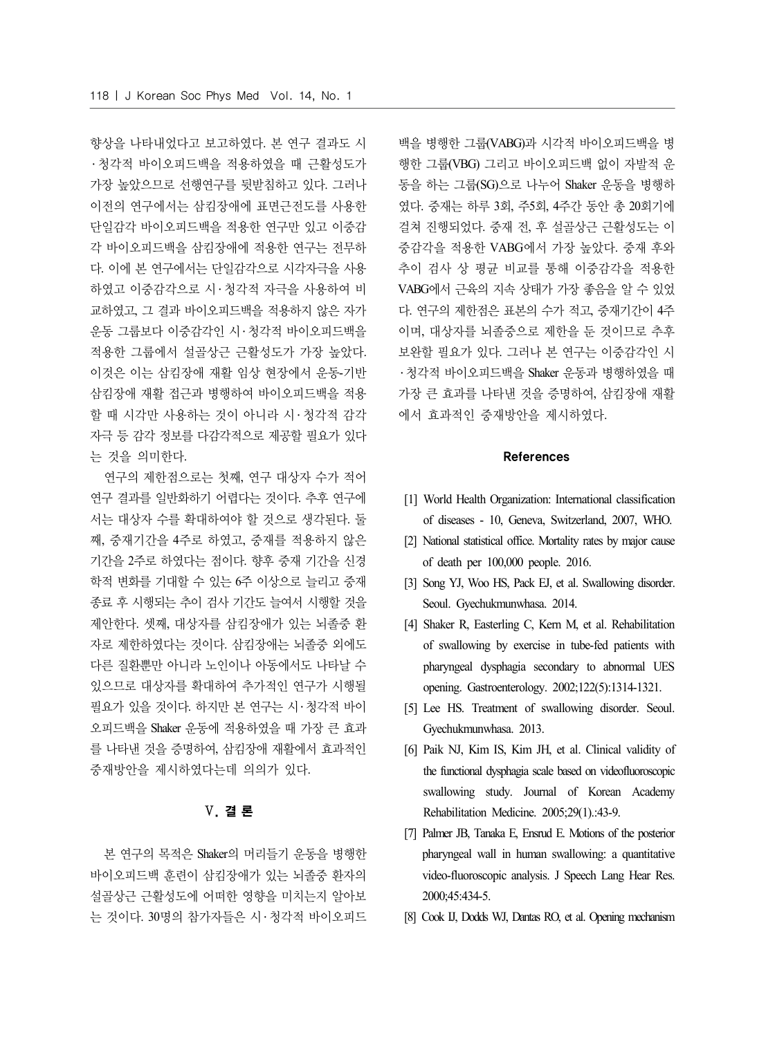향상을 나타내었다고 보고하였다. 본 연구 결과도 시 ․ 청각적 바이오피드백을 적용하였을 때 근활성도가 가장 높았으므로 선행연구를 뒷받침하고 있다. 그러나 이전의 연구에서는 삼킴장애에 표면근전도를 사용한 단일감각 바이오피드백을 적용한 연구만 있고 이중감 각 바이오피드백을 삼킴장애에 적용한 연구는 전무하 다. 이에 본 연구에서는 단일감각으로 시각자극을 사용 하였고 이중감각으로 시 ․ 청각적 자극을 사용하여 비 교하였고, 그 결과 바이오피드백을 적용하지 않은 자가 운동 그룹보다 이중감각인 시․ 청각적 바이오피드백을 적용한 그룹에서 설골상근 근활성도가 가장 높았다. 이것은 이는 삼킴장애 재활 임상 현장에서 운동-기반 삼킴장애 재활 접근과 병행하여 바이오피드백을 적용 할 때 시각만 사용하는 것이 아니라 시 ․ 청각적 감각 자극 등 감각 정보를 다감각적으로 제공할 필요가 있다 는 것을 의미한다.

연구의 제한점으로는 첫째, 연구 대상자 수가 적어 연구 결과를 일반화하기 어렵다는 것이다. 추후 연구에 서는 대상자 수를 확대하여야 할 것으로 생각된다. 둘 째, 중재기간을 4주로 하였고, 중재를 적용하지 않은 기간을 2주로 하였다는 점이다. 향후 중재 기간을 신경 학적 변화를 기대할 수 있는 6주 이상으로 늘리고 중재 종료 후 시행되는 추이 검사 기간도 늘여서 시행할 것을 제안한다. 셋째, 대상자를 삼킴장애가 있는 뇌졸중 환 자로 제한하였다는 것이다. 삼킴장애는 뇌졸중 외에도 다른 질환뿐만 아니라 노인이나 아동에서도 나타날 수 있으므로 대상자를 확대하여 추가적인 연구가 시행될 필요가 있을 것이다. 하지만 본 연구는 시․ 청각적 바이 오피드백을 Shaker 운동에 적용하였을 때 가장 큰 효과 를 나타낸 것을 증명하여, 삼킴장애 재활에서 효과적인 중재방안을 제시하였다는데 의의가 있다.

# Ⅴ. 결 론

본 연구의 목적은 Shaker의 머리들기 운동을 병행한 바이오피드백 훈련이 삼킴장애가 있는 뇌졸중 환자의 설골상근 근활성도에 어떠한 영향을 미치는지 알아보 는 것이다. 30명의 참가자들은 시 ․ 청각적 바이오피드

백을 병행한 그룹(VABG)과 시각적 바이오피드백을 병 행한 그룹(VBG) 그리고 바이오피드백 없이 자발적 운 동을 하는 그룹(SG)으로 나누어 Shaker 운동을 병행하 였다. 중재는 하루 3회, 주5회, 4주간 동안 총 20회기에 걸쳐 진행되었다. 중재 전, 후 설골상근 근활성도는 이 중감각을 적용한 VABG에서 가장 높았다. 중재 후와 추이 검사 상 평균 비교를 통해 이중감각을 적용한 VABG에서 근육의 지속 상태가 가장 좋음을 알 수 있었 다. 연구의 제한점은 표본의 수가 적고, 중재기간이 4주 이며, 대상자를 뇌졸중으로 제한을 둔 것이므로 추후 보완할 필요가 있다. 그러나 본 연구는 이중감각인 시 ․ 청각적 바이오피드백을 Shaker 운동과 병행하였을 때 가장 큰 효과를 나타낸 것을 증명하여, 삼킴장애 재활 에서 효과적인 중재방안을 제시하였다.

#### References

- [1] World Health Organization: International classification of diseases - 10, Geneva, Switzerland, 2007, WHO.
- [2] National statistical office. Mortality rates by major cause of death per 100,000 people. 2016.
- [3] Song YJ, Woo HS, Pack EJ, et al. Swallowing disorder. Seoul. Gyechukmunwhasa. 2014.
- [4] Shaker R, Easterling C, Kern M, et al. Rehabilitation of swallowing by exercise in tube-fed patients with pharyngeal dysphagia secondary to abnormal UES opening. Gastroenterology. 2002;122(5):1314-1321.
- [5] Lee HS. Treatment of swallowing disorder. Seoul. Gyechukmunwhasa. 2013.
- [6] Paik NJ, Kim IS, Kim JH, et al. Clinical validity of the functional dysphagia scale based on videofluoroscopic swallowing study. Journal of Korean Academy Rehabilitation Medicine. 2005;29(1).:43-9.
- [7] Palmer JB, Tanaka E, Ensrud E. Motions of the posterior pharyngeal wall in human swallowing: a quantitative video-fluoroscopic analysis. J Speech Lang Hear Res. 2000;45:434-5.
- [8] Cook IJ, Dodds WJ, Dantas RO, et al. Opening mechanism